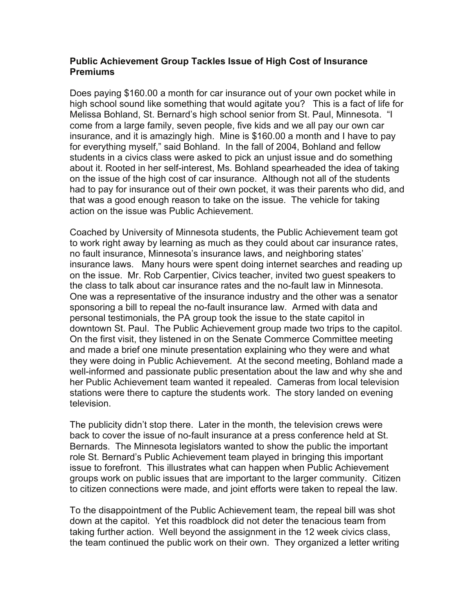## **Public Achievement Group Tackles Issue of High Cost of Insurance Premiums**

Does paying \$160.00 a month for car insurance out of your own pocket while in high school sound like something that would agitate you? This is a fact of life for Melissa Bohland, St. Bernard's high school senior from St. Paul, Minnesota. "I come from a large family, seven people, five kids and we all pay our own car insurance, and it is amazingly high. Mine is \$160.00 a month and I have to pay for everything myself," said Bohland. In the fall of 2004, Bohland and fellow students in a civics class were asked to pick an unjust issue and do something about it. Rooted in her self-interest, Ms. Bohland spearheaded the idea of taking on the issue of the high cost of car insurance. Although not all of the students had to pay for insurance out of their own pocket, it was their parents who did, and that was a good enough reason to take on the issue. The vehicle for taking action on the issue was Public Achievement.

Coached by University of Minnesota students, the Public Achievement team got to work right away by learning as much as they could about car insurance rates, no fault insurance, Minnesota's insurance laws, and neighboring states' insurance laws. Many hours were spent doing internet searches and reading up on the issue. Mr. Rob Carpentier, Civics teacher, invited two guest speakers to the class to talk about car insurance rates and the no-fault law in Minnesota. One was a representative of the insurance industry and the other was a senator sponsoring a bill to repeal the no-fault insurance law. Armed with data and personal testimonials, the PA group took the issue to the state capitol in downtown St. Paul. The Public Achievement group made two trips to the capitol. On the first visit, they listened in on the Senate Commerce Committee meeting and made a brief one minute presentation explaining who they were and what they were doing in Public Achievement. At the second meeting, Bohland made a well-informed and passionate public presentation about the law and why she and her Public Achievement team wanted it repealed. Cameras from local television stations were there to capture the students work. The story landed on evening television.

The publicity didn't stop there. Later in the month, the television crews were back to cover the issue of no-fault insurance at a press conference held at St. Bernards. The Minnesota legislators wanted to show the public the important role St. Bernard's Public Achievement team played in bringing this important issue to forefront. This illustrates what can happen when Public Achievement groups work on public issues that are important to the larger community. Citizen to citizen connections were made, and joint efforts were taken to repeal the law.

To the disappointment of the Public Achievement team, the repeal bill was shot down at the capitol. Yet this roadblock did not deter the tenacious team from taking further action. Well beyond the assignment in the 12 week civics class, the team continued the public work on their own. They organized a letter writing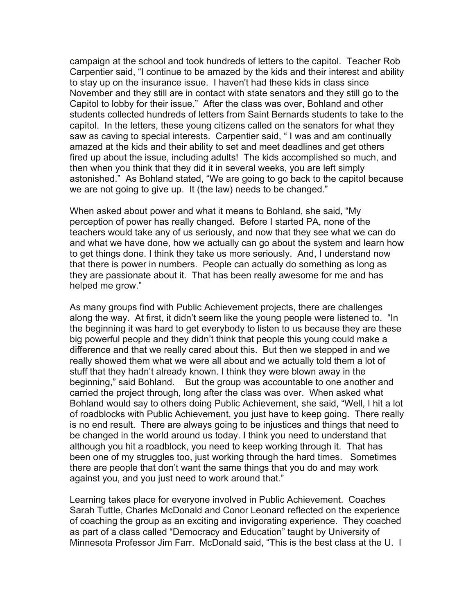campaign at the school and took hundreds of letters to the capitol. Teacher Rob Carpentier said, "I continue to be amazed by the kids and their interest and ability to stay up on the insurance issue. I haven't had these kids in class since November and they still are in contact with state senators and they still go to the Capitol to lobby for their issue." After the class was over, Bohland and other students collected hundreds of letters from Saint Bernards students to take to the capitol. In the letters, these young citizens called on the senators for what they saw as caving to special interests. Carpentier said, " I was and am continually amazed at the kids and their ability to set and meet deadlines and get others fired up about the issue, including adults! The kids accomplished so much, and then when you think that they did it in several weeks, you are left simply astonished." As Bohland stated, "We are going to go back to the capitol because we are not going to give up. It (the law) needs to be changed."

When asked about power and what it means to Bohland, she said, "My perception of power has really changed. Before I started PA, none of the teachers would take any of us seriously, and now that they see what we can do and what we have done, how we actually can go about the system and learn how to get things done. I think they take us more seriously. And, I understand now that there is power in numbers. People can actually do something as long as they are passionate about it. That has been really awesome for me and has helped me grow."

As many groups find with Public Achievement projects, there are challenges along the way. At first, it didn't seem like the young people were listened to. "In the beginning it was hard to get everybody to listen to us because they are these big powerful people and they didn't think that people this young could make a difference and that we really cared about this. But then we stepped in and we really showed them what we were all about and we actually told them a lot of stuff that they hadn't already known. I think they were blown away in the beginning," said Bohland. But the group was accountable to one another and carried the project through, long after the class was over. When asked what Bohland would say to others doing Public Achievement, she said, "Well, I hit a lot of roadblocks with Public Achievement, you just have to keep going. There really is no end result. There are always going to be injustices and things that need to be changed in the world around us today. I think you need to understand that although you hit a roadblock, you need to keep working through it. That has been one of my struggles too, just working through the hard times. Sometimes there are people that don't want the same things that you do and may work against you, and you just need to work around that."

Learning takes place for everyone involved in Public Achievement. Coaches Sarah Tuttle, Charles McDonald and Conor Leonard reflected on the experience of coaching the group as an exciting and invigorating experience. They coached as part of a class called "Democracy and Education" taught by University of Minnesota Professor Jim Farr. McDonald said, "This is the best class at the U. I